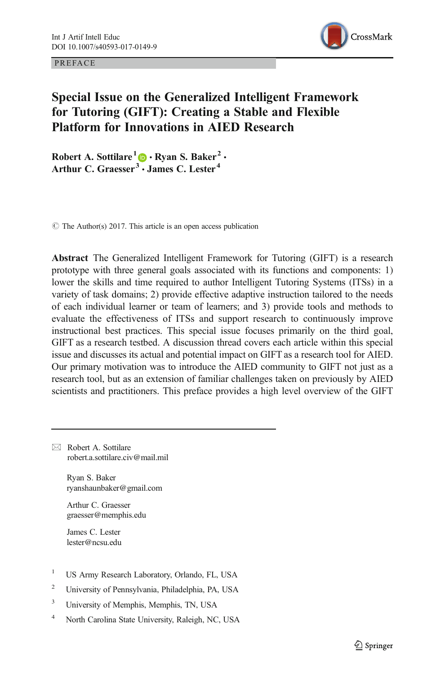PREFACE Open Access of the Contract of the Contract of the Contract of the Contract of the Contract of the Contract of the Contract of the Contract of the Contract of the Contract of the Contract of the Contract of the Con



# Special Issue on the Generalized Intelligent Framework for Tutoring (GIFT): Creating a Stable and Flexible Platform for Innovations in AIED Research

Robert A. Sottilare<sup>1</sup>  $\bullet$  Ryan S. Baker<sup>2</sup>  $\cdot$ Arthur C. Graesser<sup>3</sup>  $\cdot$  James C. Lester<sup>4</sup>

 $\circ$  The Author(s) 2017. This article is an open access publication

Abstract The Generalized Intelligent Framework for Tutoring (GIFT) is a research prototype with three general goals associated with its functions and components: 1) lower the skills and time required to author Intelligent Tutoring Systems (ITSs) in a variety of task domains; 2) provide effective adaptive instruction tailored to the needs of each individual learner or team of learners; and 3) provide tools and methods to evaluate the effectiveness of ITSs and support research to continuously improve instructional best practices. This special issue focuses primarily on the third goal, GIFT as a research testbed. A discussion thread covers each article within this special issue and discusses its actual and potential impact on GIFT as a research tool for AIED. Our primary motivation was to introduce the AIED community to GIFT not just as a research tool, but as an extension of familiar challenges taken on previously by AIED scientists and practitioners. This preface provides a high level overview of the GIFT

 $\boxtimes$  Robert A. Sottilare [robert.a.sottilare.civ@mail.mil](mailto:robert.a.sottilare.civ@mail.mil)

> Ryan S. Baker ryanshaunbaker@gmail.com

Arthur C. Graesser graesser@memphis.edu

James C. Lester lester@ncsu.edu

- <sup>1</sup> US Army Research Laboratory, Orlando, FL, USA
- <sup>2</sup> University of Pennsylvania, Philadelphia, PA, USA
- <sup>3</sup> University of Memphis, Memphis, TN, USA
- <sup>4</sup> North Carolina State University, Raleigh, NC, USA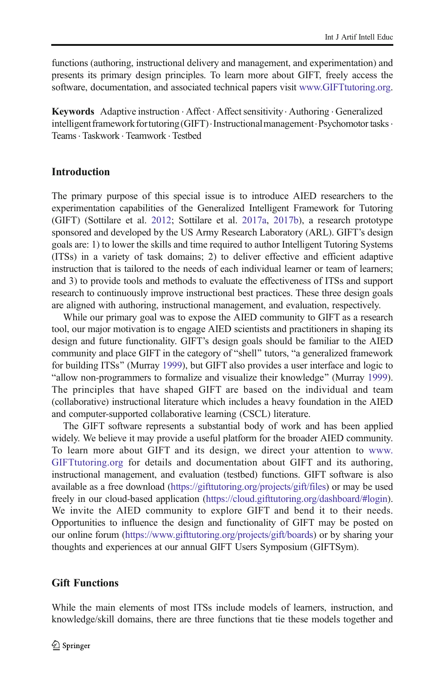functions (authoring, instructional delivery and management, and experimentation) and presents its primary design principles. To learn more about GIFT, freely access the software, documentation, and associated technical papers visit [www.GIFTtutoring.org.](http://www.gifttutoring.org)

Keywords Adaptive instruction · Affect · Affect sensitivity · Authoring · Generalized intelligent framework for tutoring (GIFT)  $\cdot$  Instructional management  $\cdot$  Psychomotor tasks  $\cdot$ Teams. Taskwork . Teamwork . Testbed

## Introduction

The primary purpose of this special issue is to introduce AIED researchers to the experimentation capabilities of the Generalized Intelligent Framework for Tutoring (GIFT) (Sottilare et al. [2012](#page-12-0); Sottilare et al. [2017a](#page-12-0), [2017b\)](#page-12-0), a research prototype sponsored and developed by the US Army Research Laboratory (ARL). GIFT's design goals are: 1) to lower the skills and time required to author Intelligent Tutoring Systems (ITSs) in a variety of task domains; 2) to deliver effective and efficient adaptive instruction that is tailored to the needs of each individual learner or team of learners; and 3) to provide tools and methods to evaluate the effectiveness of ITSs and support research to continuously improve instructional best practices. These three design goals are aligned with authoring, instructional management, and evaluation, respectively.

While our primary goal was to expose the AIED community to GIFT as a research tool, our major motivation is to engage AIED scientists and practitioners in shaping its design and future functionality. GIFT's design goals should be familiar to the AIED community and place GIFT in the category of "shell" tutors, "a generalized framework for building ITSs^ (Murray [1999\)](#page-11-0), but GIFT also provides a user interface and logic to Ballow non-programmers to formalize and visualize their knowledge^ (Murray [1999\)](#page-11-0). The principles that have shaped GIFT are based on the individual and team (collaborative) instructional literature which includes a heavy foundation in the AIED and computer-supported collaborative learning (CSCL) literature.

The GIFT software represents a substantial body of work and has been applied widely. We believe it may provide a useful platform for the broader AIED community. To learn more about GIFT and its design, we direct your attention to [www.](http://www.gifttutoring.org) [GIFTtutoring.org](http://www.gifttutoring.org) for details and documentation about GIFT and its authoring, instructional management, and evaluation (testbed) functions. GIFT software is also available as a free download ([https://gifttutoring.org/projects/gift/files\)](https://gifttutoring.org/projects/gift/files) or may be used freely in our cloud-based application [\(https://cloud.gifttutoring.org/dashboard/#login\)](https://cloud.gifttutoring.org/dashboard/%23login). We invite the AIED community to explore GIFT and bend it to their needs. Opportunities to influence the design and functionality of GIFT may be posted on our online forum (<https://www.gifttutoring.org/projects/gift/boards>) or by sharing your thoughts and experiences at our annual GIFT Users Symposium (GIFTSym).

## Gift Functions

While the main elements of most ITSs include models of learners, instruction, and knowledge/skill domains, there are three functions that tie these models together and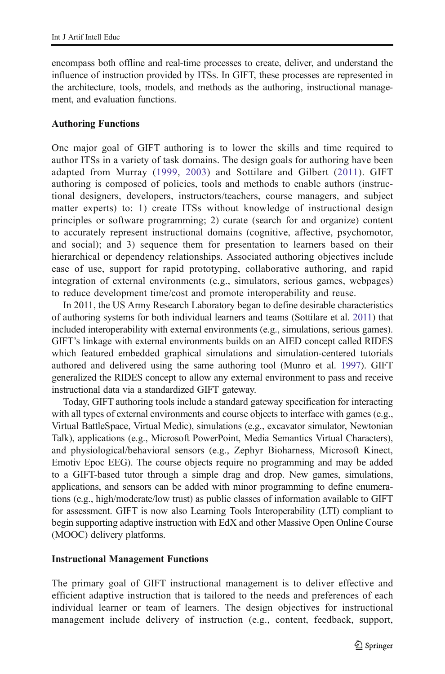encompass both offline and real-time processes to create, deliver, and understand the influence of instruction provided by ITSs. In GIFT, these processes are represented in the architecture, tools, models, and methods as the authoring, instructional management, and evaluation functions.

## Authoring Functions

One major goal of GIFT authoring is to lower the skills and time required to author ITSs in a variety of task domains. The design goals for authoring have been adapted from Murray [\(1999](#page-11-0), [2003](#page-11-0)) and Sottilare and Gilbert [\(2011](#page-12-0)). GIFT authoring is composed of policies, tools and methods to enable authors (instructional designers, developers, instructors/teachers, course managers, and subject matter experts) to: 1) create ITSs without knowledge of instructional design principles or software programming; 2) curate (search for and organize) content to accurately represent instructional domains (cognitive, affective, psychomotor, and social); and 3) sequence them for presentation to learners based on their hierarchical or dependency relationships. Associated authoring objectives include ease of use, support for rapid prototyping, collaborative authoring, and rapid integration of external environments (e.g., simulators, serious games, webpages) to reduce development time/cost and promote interoperability and reuse.

In 2011, the US Army Research Laboratory began to define desirable characteristics of authoring systems for both individual learners and teams (Sottilare et al. [2011\)](#page-12-0) that included interoperability with external environments (e.g., simulations, serious games). GIFT's linkage with external environments builds on an AIED concept called RIDES which featured embedded graphical simulations and simulation-centered tutorials authored and delivered using the same authoring tool (Munro et al. [1997](#page-11-0)). GIFT generalized the RIDES concept to allow any external environment to pass and receive instructional data via a standardized GIFT gateway.

Today, GIFT authoring tools include a standard gateway specification for interacting with all types of external environments and course objects to interface with games (e.g., Virtual BattleSpace, Virtual Medic), simulations (e.g., excavator simulator, Newtonian Talk), applications (e.g., Microsoft PowerPoint, Media Semantics Virtual Characters), and physiological/behavioral sensors (e.g., Zephyr Bioharness, Microsoft Kinect, Emotiv Epoc EEG). The course objects require no programming and may be added to a GIFT-based tutor through a simple drag and drop. New games, simulations, applications, and sensors can be added with minor programming to define enumerations (e.g., high/moderate/low trust) as public classes of information available to GIFT for assessment. GIFT is now also Learning Tools Interoperability (LTI) compliant to begin supporting adaptive instruction with EdX and other Massive Open Online Course (MOOC) delivery platforms.

## Instructional Management Functions

The primary goal of GIFT instructional management is to deliver effective and efficient adaptive instruction that is tailored to the needs and preferences of each individual learner or team of learners. The design objectives for instructional management include delivery of instruction (e.g., content, feedback, support,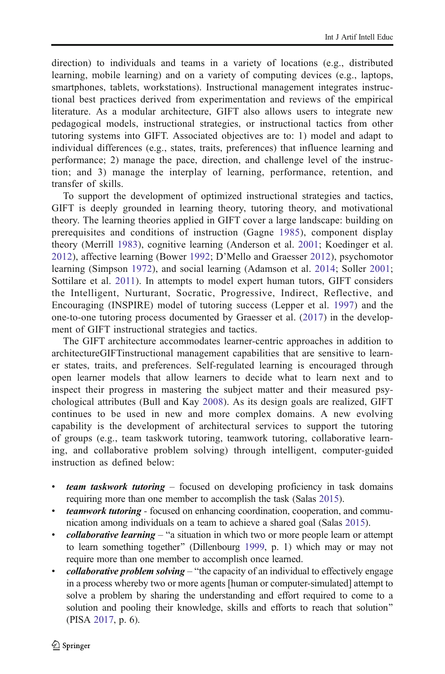direction) to individuals and teams in a variety of locations (e.g., distributed learning, mobile learning) and on a variety of computing devices (e.g., laptops, smartphones, tablets, workstations). Instructional management integrates instructional best practices derived from experimentation and reviews of the empirical literature. As a modular architecture, GIFT also allows users to integrate new pedagogical models, instructional strategies, or instructional tactics from other tutoring systems into GIFT. Associated objectives are to: 1) model and adapt to individual differences (e.g., states, traits, preferences) that influence learning and performance; 2) manage the pace, direction, and challenge level of the instruction; and 3) manage the interplay of learning, performance, retention, and transfer of skills.

To support the development of optimized instructional strategies and tactics, GIFT is deeply grounded in learning theory, tutoring theory, and motivational theory. The learning theories applied in GIFT cover a large landscape: building on prerequisites and conditions of instruction (Gagne [1985\)](#page-10-0), component display theory (Merrill [1983](#page-11-0)), cognitive learning (Anderson et al. [2001;](#page-10-0) Koedinger et al. [2012](#page-11-0)), affective learning (Bower [1992;](#page-10-0) D'Mello and Graesser [2012\)](#page-10-0), psychomotor learning (Simpson [1972](#page-11-0)), and social learning (Adamson et al. [2014](#page-10-0); Soller [2001;](#page-11-0) Sottilare et al. [2011\)](#page-12-0). In attempts to model expert human tutors, GIFT considers the Intelligent, Nurturant, Socratic, Progressive, Indirect, Reflective, and Encouraging (INSPIRE) model of tutoring success (Lepper et al. [1997\)](#page-11-0) and the one-to-one tutoring process documented by Graesser et al. [\(2017\)](#page-11-0) in the development of GIFT instructional strategies and tactics.

The GIFT architecture accommodates learner-centric approaches in addition to architectureGIFTinstructional management capabilities that are sensitive to learner states, traits, and preferences. Self-regulated learning is encouraged through open learner models that allow learners to decide what to learn next and to inspect their progress in mastering the subject matter and their measured psychological attributes (Bull and Kay [2008\)](#page-10-0). As its design goals are realized, GIFT continues to be used in new and more complex domains. A new evolving capability is the development of architectural services to support the tutoring of groups (e.g., team taskwork tutoring, teamwork tutoring, collaborative learning, and collaborative problem solving) through intelligent, computer-guided instruction as defined below:

- team taskwork tutoring focused on developing proficiency in task domains requiring more than one member to accomplish the task (Salas [2015\)](#page-11-0).
- teamwork tutoring focused on enhancing coordination, cooperation, and communication among individuals on a team to achieve a shared goal (Salas [2015\)](#page-11-0).
- $collaborative learning "a situation in which two or more people learn or attempt$ to learn something together" (Dillenbourg [1999](#page-10-0), p. 1) which may or may not require more than one member to accomplish once learned.
- $collaborative problem solving$  "the capacity of an individual to effectively engage in a process whereby two or more agents [human or computer-simulated] attempt to solve a problem by sharing the understanding and effort required to come to a solution and pooling their knowledge, skills and efforts to reach that solution" (PISA [2017](#page-11-0), p. 6).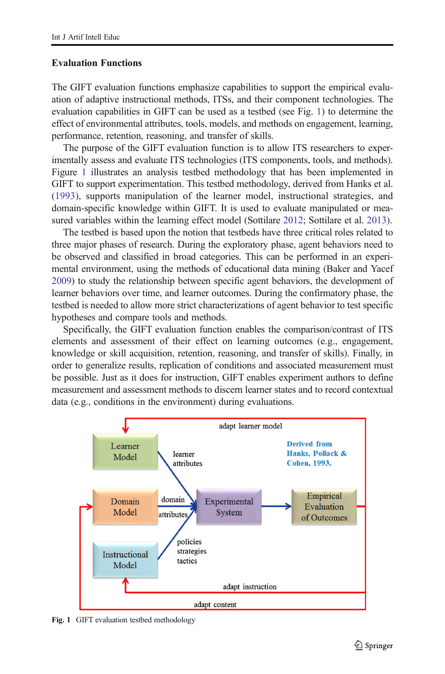### Evaluation Functions

The GIFT evaluation functions emphasize capabilities to support the empirical evaluation of adaptive instructional methods, ITSs, and their component technologies. The evaluation capabilities in GIFT can be used as a testbed (see Fig. 1) to determine the effect of environmental attributes, tools, models, and methods on engagement, learning, performance, retention, reasoning, and transfer of skills.

The purpose of the GIFT evaluation function is to allow ITS researchers to experimentally assess and evaluate ITS technologies (ITS components, tools, and methods). Figure 1 illustrates an analysis testbed methodology that has been implemented in GIFT to support experimentation. This testbed methodology, derived from Hanks et al. [\(1993](#page-11-0)), supports manipulation of the learner model, instructional strategies, and domain-specific knowledge within GIFT. It is used to evaluate manipulated or measured variables within the learning effect model (Sottilare [2012](#page-11-0); Sottilare et al. [2013](#page-12-0)).

The testbed is based upon the notion that testbeds have three critical roles related to three major phases of research. During the exploratory phase, agent behaviors need to be observed and classified in broad categories. This can be performed in an experimental environment, using the methods of educational data mining (Baker and Yacef [2009\)](#page-10-0) to study the relationship between specific agent behaviors, the development of learner behaviors over time, and learner outcomes. During the confirmatory phase, the testbed is needed to allow more strict characterizations of agent behavior to test specific hypotheses and compare tools and methods.

Specifically, the GIFT evaluation function enables the comparison/contrast of ITS elements and assessment of their effect on learning outcomes (e.g., engagement, knowledge or skill acquisition, retention, reasoning, and transfer of skills). Finally, in order to generalize results, replication of conditions and associated measurement must be possible. Just as it does for instruction, GIFT enables experiment authors to define measurement and assessment methods to discern learner states and to record contextual data (e.g., conditions in the environment) during evaluations.



Fig. 1 GIFT evaluation testbed methodology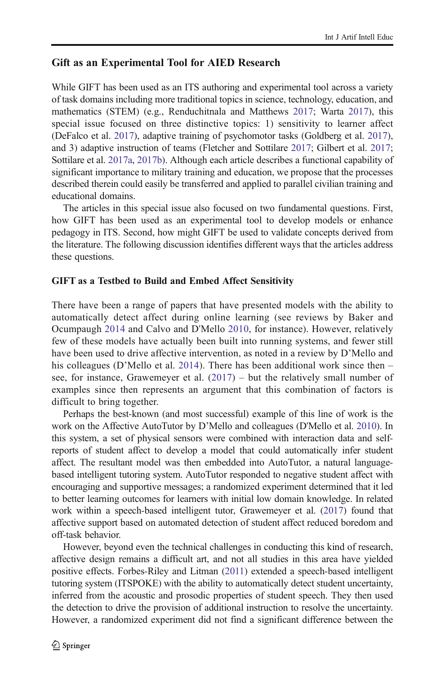## Gift as an Experimental Tool for AIED Research

While GIFT has been used as an ITS authoring and experimental tool across a variety of task domains including more traditional topics in science, technology, education, and mathematics (STEM) (e.g., Renduchitnala and Matthews [2017](#page-11-0); Warta [2017](#page-12-0)), this special issue focused on three distinctive topics: 1) sensitivity to learner affect (DeFalco et al. [2017](#page-10-0)), adaptive training of psychomotor tasks (Goldberg et al. [2017\)](#page-11-0), and 3) adaptive instruction of teams (Fletcher and Sottilare [2017](#page-10-0); Gilbert et al. [2017;](#page-11-0) Sottilare et al. [2017a,](#page-12-0) [2017b\)](#page-12-0). Although each article describes a functional capability of significant importance to military training and education, we propose that the processes described therein could easily be transferred and applied to parallel civilian training and educational domains.

The articles in this special issue also focused on two fundamental questions. First, how GIFT has been used as an experimental tool to develop models or enhance pedagogy in ITS. Second, how might GIFT be used to validate concepts derived from the literature. The following discussion identifies different ways that the articles address these questions.

## GIFT as a Testbed to Build and Embed Affect Sensitivity

There have been a range of papers that have presented models with the ability to automatically detect affect during online learning (see reviews by Baker and Ocumpaugh [2014](#page-10-0) and Calvo and D'Mello [2010,](#page-10-0) for instance). However, relatively few of these models have actually been built into running systems, and fewer still have been used to drive affective intervention, as noted in a review by D'Mello and his colleagues (D'Mello et al. [2014\)](#page-10-0). There has been additional work since then – see, for instance, Grawemeyer et al. ([2017](#page-11-0)) – but the relatively small number of examples since then represents an argument that this combination of factors is difficult to bring together.

Perhaps the best-known (and most successful) example of this line of work is the work on the Affective AutoTutor by D'Mello and colleagues (D'Mello et al. [2010\)](#page-10-0). In this system, a set of physical sensors were combined with interaction data and selfreports of student affect to develop a model that could automatically infer student affect. The resultant model was then embedded into AutoTutor, a natural languagebased intelligent tutoring system. AutoTutor responded to negative student affect with encouraging and supportive messages; a randomized experiment determined that it led to better learning outcomes for learners with initial low domain knowledge. In related work within a speech-based intelligent tutor, Grawemeyer et al. ([2017](#page-11-0)) found that affective support based on automated detection of student affect reduced boredom and off-task behavior.

However, beyond even the technical challenges in conducting this kind of research, affective design remains a difficult art, and not all studies in this area have yielded positive effects. Forbes-Riley and Litman [\(2011](#page-10-0)) extended a speech-based intelligent tutoring system (ITSPOKE) with the ability to automatically detect student uncertainty, inferred from the acoustic and prosodic properties of student speech. They then used the detection to drive the provision of additional instruction to resolve the uncertainty. However, a randomized experiment did not find a significant difference between the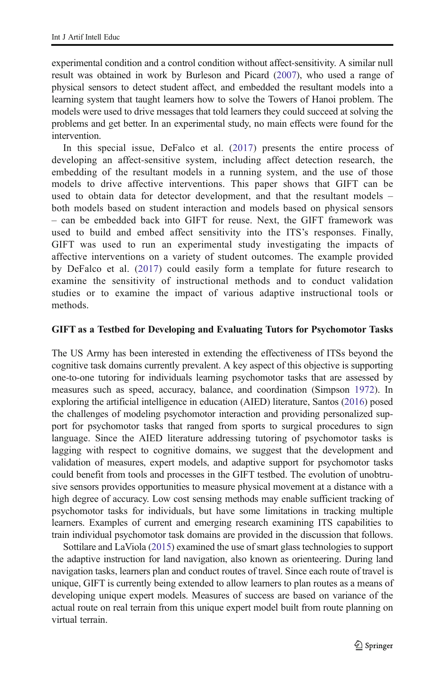experimental condition and a control condition without affect-sensitivity. A similar null result was obtained in work by Burleson and Picard [\(2007\)](#page-10-0), who used a range of physical sensors to detect student affect, and embedded the resultant models into a learning system that taught learners how to solve the Towers of Hanoi problem. The models were used to drive messages that told learners they could succeed at solving the problems and get better. In an experimental study, no main effects were found for the intervention.

In this special issue, DeFalco et al. ([2017](#page-10-0)) presents the entire process of developing an affect-sensitive system, including affect detection research, the embedding of the resultant models in a running system, and the use of those models to drive affective interventions. This paper shows that GIFT can be used to obtain data for detector development, and that the resultant models – both models based on student interaction and models based on physical sensors – can be embedded back into GIFT for reuse. Next, the GIFT framework was used to build and embed affect sensitivity into the ITS's responses. Finally, GIFT was used to run an experimental study investigating the impacts of affective interventions on a variety of student outcomes. The example provided by DeFalco et al. [\(2017\)](#page-10-0) could easily form a template for future research to examine the sensitivity of instructional methods and to conduct validation studies or to examine the impact of various adaptive instructional tools or methods.

#### GIFT as a Testbed for Developing and Evaluating Tutors for Psychomotor Tasks

The US Army has been interested in extending the effectiveness of ITSs beyond the cognitive task domains currently prevalent. A key aspect of this objective is supporting one-to-one tutoring for individuals learning psychomotor tasks that are assessed by measures such as speed, accuracy, balance, and coordination (Simpson [1972\)](#page-11-0). In exploring the artificial intelligence in education (AIED) literature, Santos [\(2016\)](#page-11-0) posed the challenges of modeling psychomotor interaction and providing personalized support for psychomotor tasks that ranged from sports to surgical procedures to sign language. Since the AIED literature addressing tutoring of psychomotor tasks is lagging with respect to cognitive domains, we suggest that the development and validation of measures, expert models, and adaptive support for psychomotor tasks could benefit from tools and processes in the GIFT testbed. The evolution of unobtrusive sensors provides opportunities to measure physical movement at a distance with a high degree of accuracy. Low cost sensing methods may enable sufficient tracking of psychomotor tasks for individuals, but have some limitations in tracking multiple learners. Examples of current and emerging research examining ITS capabilities to train individual psychomotor task domains are provided in the discussion that follows.

Sottilare and LaViola ([2015](#page-12-0)) examined the use of smart glass technologies to support the adaptive instruction for land navigation, also known as orienteering. During land navigation tasks, learners plan and conduct routes of travel. Since each route of travel is unique, GIFT is currently being extended to allow learners to plan routes as a means of developing unique expert models. Measures of success are based on variance of the actual route on real terrain from this unique expert model built from route planning on virtual terrain.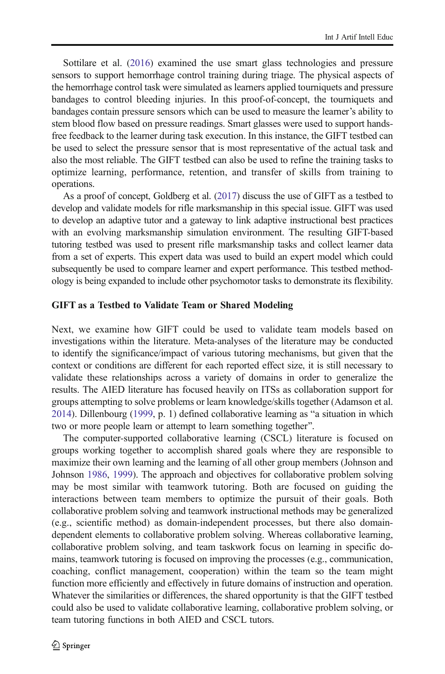Sottilare et al. [\(2016](#page-12-0)) examined the use smart glass technologies and pressure sensors to support hemorrhage control training during triage. The physical aspects of the hemorrhage control task were simulated as learners applied tourniquets and pressure bandages to control bleeding injuries. In this proof-of-concept, the tourniquets and bandages contain pressure sensors which can be used to measure the learner's ability to stem blood flow based on pressure readings. Smart glasses were used to support handsfree feedback to the learner during task execution. In this instance, the GIFT testbed can be used to select the pressure sensor that is most representative of the actual task and also the most reliable. The GIFT testbed can also be used to refine the training tasks to optimize learning, performance, retention, and transfer of skills from training to operations.

As a proof of concept, Goldberg et al. ([2017\)](#page-11-0) discuss the use of GIFT as a testbed to develop and validate models for rifle marksmanship in this special issue. GIFT was used to develop an adaptive tutor and a gateway to link adaptive instructional best practices with an evolving marksmanship simulation environment. The resulting GIFT-based tutoring testbed was used to present rifle marksmanship tasks and collect learner data from a set of experts. This expert data was used to build an expert model which could subsequently be used to compare learner and expert performance. This testbed methodology is being expanded to include other psychomotor tasks to demonstrate its flexibility.

### GIFT as a Testbed to Validate Team or Shared Modeling

Next, we examine how GIFT could be used to validate team models based on investigations within the literature. Meta-analyses of the literature may be conducted to identify the significance/impact of various tutoring mechanisms, but given that the context or conditions are different for each reported effect size, it is still necessary to validate these relationships across a variety of domains in order to generalize the results. The AIED literature has focused heavily on ITSs as collaboration support for groups attempting to solve problems or learn knowledge/skills together (Adamson et al.  $2014$ ). Dillenbourg [\(1999,](#page-10-0) p. 1) defined collaborative learning as "a situation in which two or more people learn or attempt to learn something together".

The computer-supported collaborative learning (CSCL) literature is focused on groups working together to accomplish shared goals where they are responsible to maximize their own learning and the learning of all other group members (Johnson and Johnson [1986,](#page-11-0) [1999](#page-11-0)). The approach and objectives for collaborative problem solving may be most similar with teamwork tutoring. Both are focused on guiding the interactions between team members to optimize the pursuit of their goals. Both collaborative problem solving and teamwork instructional methods may be generalized (e.g., scientific method) as domain-independent processes, but there also domaindependent elements to collaborative problem solving. Whereas collaborative learning, collaborative problem solving, and team taskwork focus on learning in specific domains, teamwork tutoring is focused on improving the processes (e.g., communication, coaching, conflict management, cooperation) within the team so the team might function more efficiently and effectively in future domains of instruction and operation. Whatever the similarities or differences, the shared opportunity is that the GIFT testbed could also be used to validate collaborative learning, collaborative problem solving, or team tutoring functions in both AIED and CSCL tutors.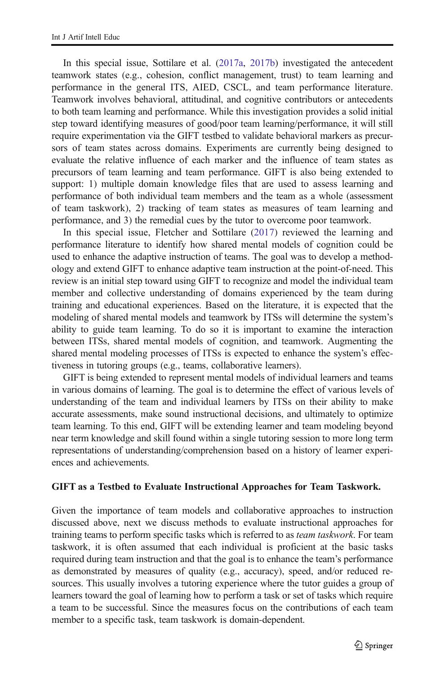In this special issue, Sottilare et al. [\(2017a](#page-12-0), [2017b\)](#page-12-0) investigated the antecedent teamwork states (e.g., cohesion, conflict management, trust) to team learning and performance in the general ITS, AIED, CSCL, and team performance literature. Teamwork involves behavioral, attitudinal, and cognitive contributors or antecedents to both team learning and performance. While this investigation provides a solid initial step toward identifying measures of good/poor team learning/performance, it will still require experimentation via the GIFT testbed to validate behavioral markers as precursors of team states across domains. Experiments are currently being designed to evaluate the relative influence of each marker and the influence of team states as precursors of team learning and team performance. GIFT is also being extended to support: 1) multiple domain knowledge files that are used to assess learning and performance of both individual team members and the team as a whole (assessment of team taskwork), 2) tracking of team states as measures of team learning and performance, and 3) the remedial cues by the tutor to overcome poor teamwork.

In this special issue, Fletcher and Sottilare ([2017](#page-10-0)) reviewed the learning and performance literature to identify how shared mental models of cognition could be used to enhance the adaptive instruction of teams. The goal was to develop a methodology and extend GIFT to enhance adaptive team instruction at the point-of-need. This review is an initial step toward using GIFT to recognize and model the individual team member and collective understanding of domains experienced by the team during training and educational experiences. Based on the literature, it is expected that the modeling of shared mental models and teamwork by ITSs will determine the system's ability to guide team learning. To do so it is important to examine the interaction between ITSs, shared mental models of cognition, and teamwork. Augmenting the shared mental modeling processes of ITSs is expected to enhance the system's effectiveness in tutoring groups (e.g., teams, collaborative learners).

GIFT is being extended to represent mental models of individual learners and teams in various domains of learning. The goal is to determine the effect of various levels of understanding of the team and individual learners by ITSs on their ability to make accurate assessments, make sound instructional decisions, and ultimately to optimize team learning. To this end, GIFT will be extending learner and team modeling beyond near term knowledge and skill found within a single tutoring session to more long term representations of understanding/comprehension based on a history of learner experiences and achievements.

#### GIFT as a Testbed to Evaluate Instructional Approaches for Team Taskwork.

Given the importance of team models and collaborative approaches to instruction discussed above, next we discuss methods to evaluate instructional approaches for training teams to perform specific tasks which is referred to as *team taskwork*. For team taskwork, it is often assumed that each individual is proficient at the basic tasks required during team instruction and that the goal is to enhance the team's performance as demonstrated by measures of quality (e.g., accuracy), speed, and/or reduced resources. This usually involves a tutoring experience where the tutor guides a group of learners toward the goal of learning how to perform a task or set of tasks which require a team to be successful. Since the measures focus on the contributions of each team member to a specific task, team taskwork is domain-dependent.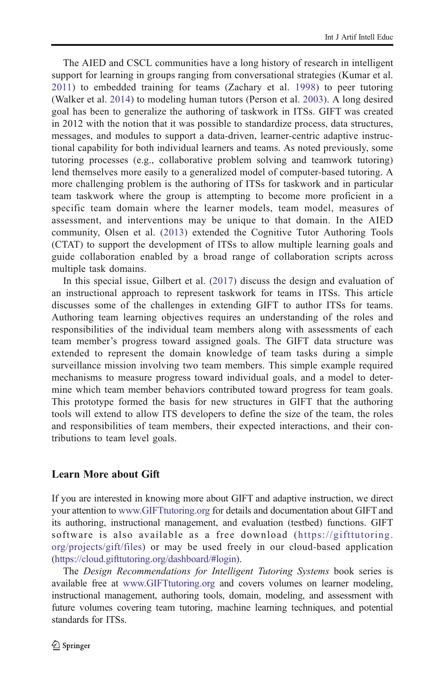The AIED and CSCL communities have a long history of research in intelligent support for learning in groups ranging from conversational strategies (Kumar et al. [2011](#page-11-0)) to embedded training for teams (Zachary et al. [1998\)](#page-12-0) to peer tutoring (Walker et al. [2014](#page-12-0)) to modeling human tutors (Person et al. [2003\)](#page-11-0). A long desired goal has been to generalize the authoring of taskwork in ITSs. GIFT was created in 2012 with the notion that it was possible to standardize process, data structures, messages, and modules to support a data-driven, learner-centric adaptive instructional capability for both individual learners and teams. As noted previously, some tutoring processes (e.g., collaborative problem solving and teamwork tutoring) lend themselves more easily to a generalized model of computer-based tutoring. A more challenging problem is the authoring of ITSs for taskwork and in particular team taskwork where the group is attempting to become more proficient in a specific team domain where the learner models, team model, measures of assessment, and interventions may be unique to that domain. In the AIED community, Olsen et al. ([2013](#page-11-0)) extended the Cognitive Tutor Authoring Tools (CTAT) to support the development of ITSs to allow multiple learning goals and guide collaboration enabled by a broad range of collaboration scripts across multiple task domains.

In this special issue, Gilbert et al. [\(2017\)](#page-11-0) discuss the design and evaluation of an instructional approach to represent taskwork for teams in ITSs. This article discusses some of the challenges in extending GIFT to author ITSs for teams. Authoring team learning objectives requires an understanding of the roles and responsibilities of the individual team members along with assessments of each team member's progress toward assigned goals. The GIFT data structure was extended to represent the domain knowledge of team tasks during a simple surveillance mission involving two team members. This simple example required mechanisms to measure progress toward individual goals, and a model to determine which team member behaviors contributed toward progress for team goals. This prototype formed the basis for new structures in GIFT that the authoring tools will extend to allow ITS developers to define the size of the team, the roles and responsibilities of team members, their expected interactions, and their contributions to team level goals.

## Learn More about Gift

If you are interested in knowing more about GIFT and adaptive instruction, we direct your attention to [www.GIFTtutoring.org](http://www.gifttutoring.org) for details and documentation about GIFT and its authoring, instructional management, and evaluation (testbed) functions. GIFT software is also available as a free download ([https://gifttutoring.](https://gifttutoring.org/projects/gift/files) [org/projects/gift/files](https://gifttutoring.org/projects/gift/files)) or may be used freely in our cloud-based application [\(https://cloud.gifttutoring.org/dashboard/#login](https://cloud.gifttutoring.org/dashboard/%23login)).

The Design Recommendations for Intelligent Tutoring Systems book series is available free at [www.GIFTtutoring.org](http://www.gifttutoring.org) and covers volumes on learner modeling, instructional management, authoring tools, domain, modeling, and assessment with future volumes covering team tutoring, machine learning techniques, and potential standards for ITSs.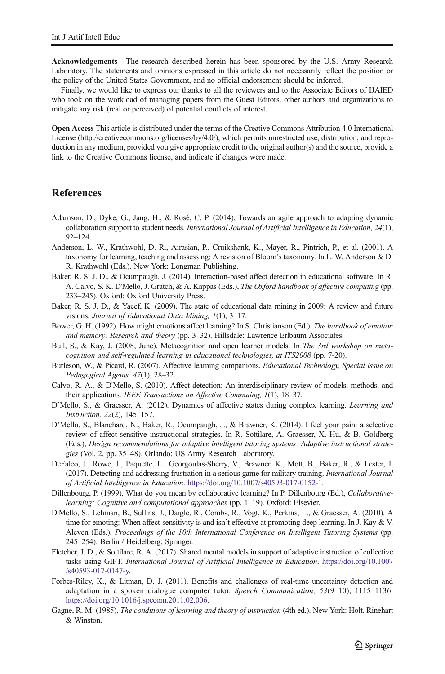<span id="page-10-0"></span>Acknowledgements The research described herein has been sponsored by the U.S. Army Research Laboratory. The statements and opinions expressed in this article do not necessarily reflect the position or the policy of the United States Government, and no official endorsement should be inferred.

Finally, we would like to express our thanks to all the reviewers and to the Associate Editors of IJAIED who took on the workload of managing papers from the Guest Editors, other authors and organizations to mitigate any risk (real or perceived) of potential conflicts of interest.

Open Access This article is distributed under the terms of the Creative Commons Attribution 4.0 International License (http://creativecommons.org/licenses/by/4.0/), which permits unrestricted use, distribution, and reproduction in any medium, provided you give appropriate credit to the original author(s) and the source, provide a link to the Creative Commons license, and indicate if changes were made.

# **References**

- Adamson, D., Dyke, G., Jang, H., & Rosé, C. P. (2014). Towards an agile approach to adapting dynamic collaboration support to student needs. International Journal of Artificial Intelligence in Education, 24(1), 92–124.
- Anderson, L. W., Krathwohl, D. R., Airasian, P., Cruikshank, K., Mayer, R., Pintrich, P., et al. (2001). A taxonomy for learning, teaching and assessing: A revision of Bloom's taxonomy. In L. W. Anderson & D. R. Krathwohl (Eds.). New York: Longman Publishing.
- Baker, R. S. J. D., & Ocumpaugh, J. (2014). Interaction-based affect detection in educational software. In R. A. Calvo, S. K. D'Mello, J. Gratch, & A. Kappas (Eds.), The Oxford handbook of affective computing (pp. 233–245). Oxford: Oxford University Press.
- Baker, R. S. J. D., & Yacef, K. (2009). The state of educational data mining in 2009: A review and future visions. Journal of Educational Data Mining, 1(1), 3–17.
- Bower, G. H. (1992). How might emotions affect learning? In S. Christianson (Ed.), The handbook of emotion and memory: Research and theory (pp. 3–32). Hillsdale: Lawrence Erlbaum Associates.
- Bull, S., & Kay, J. (2008, June). Metacognition and open learner models. In The 3rd workshop on metacognition and self-regulated learning in educational technologies, at ITS2008 (pp. 7-20).
- Burleson, W., & Picard, R. (2007). Affective learning companions. Educational Technology, Special Issue on Pedagogical Agents, 47(1), 28–32.
- Calvo, R. A., & D'Mello, S. (2010). Affect detection: An interdisciplinary review of models, methods, and their applications. IEEE Transactions on Affective Computing, 1(1), 18–37.
- D'Mello, S., & Graesser, A. (2012). Dynamics of affective states during complex learning. Learning and Instruction, 22(2), 145–157.
- D'Mello, S., Blanchard, N., Baker, R., Ocumpaugh, J., & Brawner, K. (2014). I feel your pain: a selective review of affect sensitive instructional strategies. In R. Sottilare, A. Graesser, X. Hu, & B. Goldberg (Eds.), Design recommendations for adaptive intelligent tutoring systems: Adaptive instructional strategies (Vol. 2, pp. 35–48). Orlando: US Army Research Laboratory.
- DeFalco, J., Rowe, J., Paquette, L., Georgoulas-Sherry, V., Brawner, K., Mott, B., Baker, R., & Lester, J. (2017). Detecting and addressing frustration in a serious game for military training. International Journal of Artificial Intelligence in Education. <https://doi.org/10.1007/s40593-017-0152-1>.
- Dillenbourg, P. (1999). What do you mean by collaborative learning? In P. Dillenbourg (Ed.), Collaborativelearning: Cognitive and computational approaches (pp. 1–19). Oxford: Elsevier.
- D'Mello, S., Lehman, B., Sullins, J., Daigle, R., Combs, R., Vogt, K., Perkins, L., & Graesser, A. (2010). A time for emoting: When affect-sensitivity is and isn't effective at promoting deep learning. In J. Kay & V. Aleven (Eds.), Proceedings of the 10th International Conference on Intelligent Tutoring Systems (pp. 245–254). Berlin / Heidelberg: Springer.
- Fletcher, J. D., & Sottilare, R. A. (2017). Shared mental models in support of adaptive instruction of collective tasks using GIFT. International Journal of Artificial Intelligence in Education. [https://doi.org/10.1007](https://doi.org/10.1007/s40593-017-0147-y) [/s40593-017-0147-y.](https://doi.org/10.1007/s40593-017-0147-y)
- Forbes-Riley, K., & Litman, D. J. (2011). Benefits and challenges of real-time uncertainty detection and adaptation in a spoken dialogue computer tutor. Speech Communication, 53(9–10), 1115–1136. [https://doi.org/10.1016/j.specom.2011.02.006.](https://doi.org/10.1016/j.specom.2011.02.006)
- Gagne, R. M. (1985). The conditions of learning and theory of instruction (4th ed.). New York: Holt. Rinehart & Winston.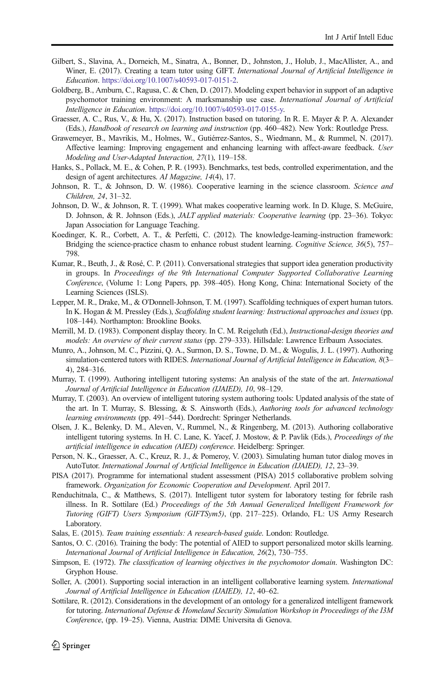- <span id="page-11-0"></span>Gilbert, S., Slavina, A., Dorneich, M., Sinatra, A., Bonner, D., Johnston, J., Holub, J., MacAllister, A., and Winer, E. (2017). Creating a team tutor using GIFT. International Journal of Artificial Intelligence in Education. [https://doi.org/10.1007/s40593-017-0151-2.](https://doi.org/10.1007/s40593-017-0151-2)
- Goldberg, B., Amburn, C., Ragusa, C. & Chen, D. (2017). Modeling expert behavior in support of an adaptive psychomotor training environment: A marksmanship use case. International Journal of Artificial Intelligence in Education. [https://doi.org/10.1007/s40593-017-0155-y.](https://doi.org/10.1007/s40593-017-0155-y)
- Graesser, A. C., Rus, V., & Hu, X. (2017). Instruction based on tutoring. In R. E. Mayer & P. A. Alexander (Eds.), Handbook of research on learning and instruction (pp. 460–482). New York: Routledge Press.
- Grawemeyer, B., Mavrikis, M., Holmes, W., Gutiérrez-Santos, S., Wiedmann, M., & Rummel, N. (2017). Affective learning: Improving engagement and enhancing learning with affect-aware feedback. User Modeling and User-Adapted Interaction, 27(1), 119–158.
- Hanks, S., Pollack, M. E., & Cohen, P. R. (1993). Benchmarks, test beds, controlled experimentation, and the design of agent architectures. AI Magazine, 14(4), 17.
- Johnson, R. T., & Johnson, D. W. (1986). Cooperative learning in the science classroom. Science and Children, 24, 31–32.
- Johnson, D. W., & Johnson, R. T. (1999). What makes cooperative learning work. In D. Kluge, S. McGuire, D. Johnson, & R. Johnson (Eds.), JALT applied materials: Cooperative learning (pp. 23–36). Tokyo: Japan Association for Language Teaching.
- Koedinger, K. R., Corbett, A. T., & Perfetti, C. (2012). The knowledge-learning-instruction framework: Bridging the science-practice chasm to enhance robust student learning. Cognitive Science, 36(5), 757– 798.
- Kumar, R., Beuth, J., & Rosé, C. P. (2011). Conversational strategies that support idea generation productivity in groups. In Proceedings of the 9th International Computer Supported Collaborative Learning Conference, (Volume 1: Long Papers, pp. 398–405). Hong Kong, China: International Society of the Learning Sciences (ISLS).
- Lepper, M. R., Drake, M., & O'Donnell-Johnson, T. M. (1997). Scaffolding techniques of expert human tutors. In K. Hogan & M. Pressley (Eds.), Scaffolding student learning: Instructional approaches and issues (pp. 108–144). Northampton: Brookline Books.
- Merrill, M. D. (1983). Component display theory. In C. M. Reigeluth (Ed.), Instructional-design theories and models: An overview of their current status (pp. 279–333). Hillsdale: Lawrence Erlbaum Associates.
- Munro, A., Johnson, M. C., Pizzini, Q. A., Surmon, D. S., Towne, D. M., & Wogulis, J. L. (1997). Authoring simulation-centered tutors with RIDES. International Journal of Artificial Intelligence in Education, 8(3– 4), 284–316.
- Murray, T. (1999). Authoring intelligent tutoring systems: An analysis of the state of the art. International Journal of Artificial Intelligence in Education (IJAIED), 10, 98–129.
- Murray, T. (2003). An overview of intelligent tutoring system authoring tools: Updated analysis of the state of the art. In T. Murray, S. Blessing, & S. Ainsworth (Eds.), Authoring tools for advanced technology learning environments (pp. 491–544). Dordrecht: Springer Netherlands.
- Olsen, J. K., Belenky, D. M., Aleven, V., Rummel, N., & Ringenberg, M. (2013). Authoring collaborative intelligent tutoring systems. In H. C. Lane, K. Yacef, J. Mostow, & P. Pavlik (Eds.), Proceedings of the artificial intelligence in education (AIED) conference. Heidelberg: Springer.
- Person, N. K., Graesser, A. C., Kreuz, R. J., & Pomeroy, V. (2003). Simulating human tutor dialog moves in AutoTutor. International Journal of Artificial Intelligence in Education (IJAIED), 12, 23–39.
- PISA (2017). Programme for international student assessment (PISA) 2015 collaborative problem solving framework. Organization for Economic Cooperation and Development. April 2017.
- Renduchitnala, C., & Matthews, S. (2017). Intelligent tutor system for laboratory testing for febrile rash illness. In R. Sottilare (Ed.) Proceedings of the 5th Annual Generalized Intelligent Framework for Tutoring (GIFT) Users Symposium (GIFTSym5), (pp. 217–225). Orlando, FL: US Army Research Laboratory.
- Salas, E. (2015). Team training essentials: A research-based guide. London: Routledge.
- Santos, O. C. (2016). Training the body: The potential of AIED to support personalized motor skills learning. International Journal of Artificial Intelligence in Education, 26(2), 730–755.
- Simpson, E. (1972). The classification of learning objectives in the psychomotor domain. Washington DC: Gryphon House.
- Soller, A. (2001). Supporting social interaction in an intelligent collaborative learning system. International Journal of Artificial Intelligence in Education (IJAIED), 12, 40–62.
- Sottilare, R. (2012). Considerations in the development of an ontology for a generalized intelligent framework for tutoring. International Defense & Homeland Security Simulation Workshop in Proceedings of the I3M Conference, (pp. 19–25). Vienna, Austria: DIME Universita di Genova.